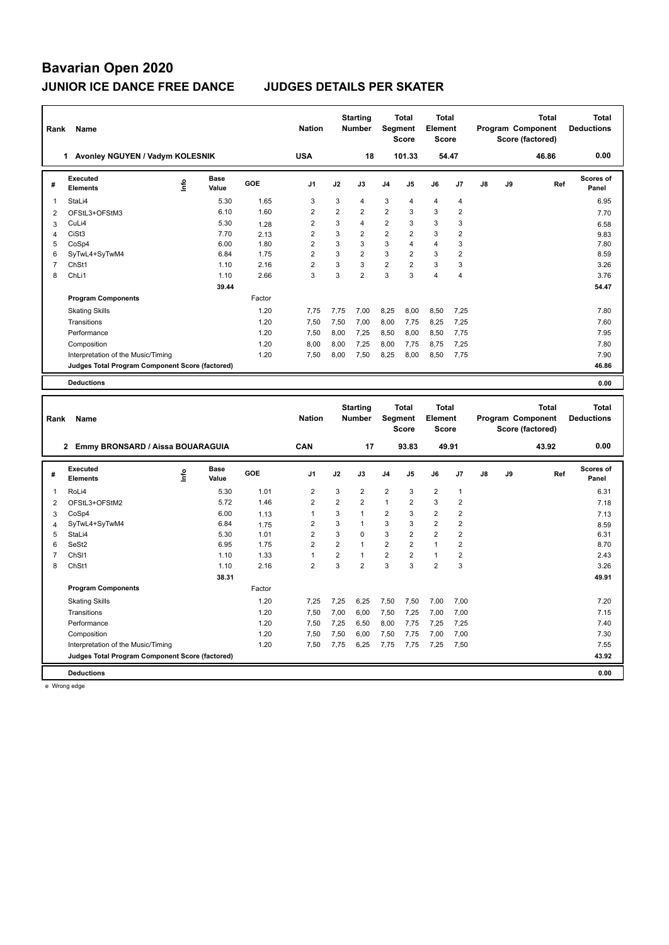| Rank           | Name                                              |      |                      |              | <b>Nation</b>                    |                     | <b>Starting</b><br><b>Number</b> | Segment        | <b>Total</b><br><b>Score</b> | <b>Total</b><br>Element<br><b>Score</b> |                              |    |    | Program Component<br>Score (factored) | <b>Total</b> | <b>Total</b><br><b>Deductions</b> |
|----------------|---------------------------------------------------|------|----------------------|--------------|----------------------------------|---------------------|----------------------------------|----------------|------------------------------|-----------------------------------------|------------------------------|----|----|---------------------------------------|--------------|-----------------------------------|
|                | 1 Avonley NGUYEN / Vadym KOLESNIK                 |      |                      |              | <b>USA</b>                       |                     | 18                               |                | 101.33                       |                                         | 54.47                        |    |    |                                       | 46.86        | 0.00                              |
| #              | Executed<br><b>Elements</b>                       | lnfo | Base<br>Value        | GOE          | J1                               | J2                  | J3                               | J4             | J5                           | J6                                      | J7                           | J8 | J9 |                                       | Ref          | <b>Scores of</b><br>Panel         |
| $\mathbf{1}$   | StaLi4                                            |      | 5.30                 | 1.65         | $\mathbf{3}$                     | 3                   | 4                                | 3              | $\overline{4}$               | $\overline{\mathbf{4}}$                 | $\overline{4}$               |    |    |                                       |              | 6.95                              |
| $\overline{2}$ | OFStL3+OFStM3                                     |      | 6.10                 | 1.60         | $\overline{2}$                   | $\overline{2}$      | $\overline{2}$                   | $\overline{2}$ | 3                            | 3                                       | $\overline{2}$               |    |    |                                       |              | 7.70                              |
| 3              | CuLi4                                             |      | 5.30                 | 1.28         | $\overline{2}$                   | 3                   | 4                                | $\overline{2}$ | 3                            | 3                                       | 3                            |    |    |                                       |              | 6.58                              |
| 4              | CiSt <sub>3</sub>                                 |      | 7.70                 | 2.13         | $\overline{c}$                   | 3                   | $\overline{2}$                   | $\overline{2}$ | $\overline{2}$               | 3                                       | $\overline{\mathbf{c}}$      |    |    |                                       |              | 9.83                              |
| 5              | CoSp4                                             |      | 6.00                 | 1.80         | $\overline{2}$                   | 3                   | 3                                | 3              | 4                            | $\overline{4}$                          | $\overline{3}$               |    |    |                                       |              | 7.80                              |
| 6              | SyTwL4+SyTwM4                                     |      | 6.84                 | 1.75         | $\overline{2}$                   | 3                   | $\overline{2}$                   | 3              | $\overline{2}$               | 3                                       | $\overline{2}$               |    |    |                                       |              | 8.59                              |
| $\overline{7}$ | ChSt1                                             |      | 1.10                 | 2.16         | $\overline{2}$                   | 3                   | 3                                | $\overline{2}$ | $\overline{2}$               | 3                                       | $\mathbf{3}$                 |    |    |                                       |              | 3.26                              |
| 8              | ChLi1                                             |      | 1.10                 | 2.66         | 3                                | 3                   | $\overline{2}$                   | 3              | 3                            | 4                                       | $\overline{4}$               |    |    |                                       |              | 3.76                              |
|                |                                                   |      | 39.44                |              |                                  |                     |                                  |                |                              |                                         |                              |    |    |                                       |              | 54.47                             |
|                | <b>Program Components</b>                         |      |                      | Factor       |                                  |                     |                                  |                |                              |                                         |                              |    |    |                                       |              |                                   |
|                | <b>Skating Skills</b>                             |      |                      | 1.20         | 7,75                             | 7,75                | 7,00                             | 8,25           | 8,00                         | 8,50                                    | 7,25                         |    |    |                                       |              | 7.80                              |
|                | Transitions                                       |      |                      | 1.20         | 7,50                             | 7,50                | 7,00                             | 8,00           | 7,75                         | 8,25                                    | 7,25                         |    |    |                                       |              | 7.60                              |
|                | Performance                                       |      |                      | 1.20         | 7,50                             | 8,00                | 7,25                             | 8,50           | 8,00                         | 8,50                                    | 7,75                         |    |    |                                       |              | 7.95                              |
|                | Composition                                       |      |                      | 1.20         | 8,00                             | 8,00                | 7,25                             | 8,00           | 7,75                         | 8,75                                    | 7,25                         |    |    |                                       |              | 7.80                              |
|                | Interpretation of the Music/Timing                |      |                      | 1.20         | 7,50                             | 8,00                | 7,50                             | 8,25           | 8,00                         | 8,50                                    | 7,75                         |    |    |                                       |              | 7.90                              |
|                | Judges Total Program Component Score (factored)   |      |                      |              |                                  |                     |                                  |                |                              |                                         |                              |    |    |                                       |              | 46.86                             |
|                | <b>Deductions</b>                                 |      |                      |              |                                  |                     |                                  |                |                              |                                         |                              |    |    |                                       |              | 0.00                              |
|                |                                                   |      |                      |              |                                  |                     |                                  |                |                              |                                         |                              |    |    |                                       |              |                                   |
|                |                                                   |      |                      |              |                                  |                     |                                  |                |                              |                                         |                              |    |    |                                       |              |                                   |
|                |                                                   |      |                      |              |                                  |                     | <b>Starting</b>                  |                | <b>Total</b>                 | <b>Total</b>                            |                              |    |    |                                       | <b>Total</b> | <b>Total</b>                      |
| Rank           | Name                                              |      |                      |              | <b>Nation</b>                    |                     | Number                           | <b>Segment</b> |                              | Element                                 |                              |    |    | Program Component                     |              | <b>Deductions</b>                 |
|                |                                                   |      |                      |              |                                  |                     |                                  |                | <b>Score</b>                 | <b>Score</b>                            |                              |    |    | Score (factored)                      |              |                                   |
|                | 2 Emmy BRONSARD / Aissa BOUARAGUIA                |      |                      |              | CAN                              |                     | 17                               |                | 93.83                        | 49.91                                   |                              |    |    |                                       | 43.92        | 0.00                              |
| #              | Executed<br><b>Elements</b>                       | lnfo | <b>Base</b><br>Value | GOE          | J1                               | J2                  | J3                               | J4             | J5                           | J6                                      | J7                           | J8 | J9 |                                       | Ref          | <b>Scores of</b><br>Panel         |
|                |                                                   |      |                      |              |                                  |                     |                                  |                |                              |                                         |                              |    |    |                                       |              |                                   |
| 1              | RoLi4                                             |      | 5.30                 | 1.01         | $\overline{2}$                   | 3                   | $\overline{2}$                   | $\overline{2}$ | 3                            | $\overline{2}$                          | $\overline{1}$               |    |    |                                       |              | 6.31                              |
| $\overline{2}$ | OFStL3+OFStM2                                     |      | 5.72                 | 1.46         | $\overline{2}$<br>$\mathbf{1}$   | $\overline{2}$<br>3 | $\overline{2}$<br>$\mathbf{1}$   | 1              | $\overline{2}$<br>3          | 3                                       | $\overline{2}$               |    |    |                                       |              | 7.18                              |
| 3              | CoSp4                                             |      | 6.00                 | 1.13         |                                  |                     | $\overline{1}$                   | $\overline{2}$ |                              | $\overline{2}$                          | $\overline{2}$               |    |    |                                       |              | 7.13                              |
| 4<br>5         | SyTwL4+SyTwM4<br>StaLi4                           |      | 6.84<br>5.30         | 1.75<br>1.01 | $\overline{2}$<br>$\overline{2}$ | 3<br>3              | $\mathbf 0$                      | 3<br>3         | 3<br>$\overline{2}$          | $\overline{2}$<br>$\overline{2}$        | $\sqrt{2}$<br>$\overline{2}$ |    |    |                                       |              | 8.59<br>6.31                      |
| 6              | SeSt2                                             |      | 6.95                 | 1.75         | $\overline{2}$                   | $\overline{2}$      | $\mathbf{1}$                     | $\overline{2}$ | $\overline{2}$               | $\mathbf{1}$                            | $\overline{2}$               |    |    |                                       |              | 8.70                              |
| $\overline{7}$ | ChS <sub>11</sub>                                 |      | 1.10                 | 1.33         | $\mathbf{1}$                     | $\overline{2}$      | $\mathbf{1}$                     | $\overline{2}$ | $\overline{2}$               | 1                                       | $\overline{2}$               |    |    |                                       |              | 2.43                              |
| 8              | ChSt1                                             |      | 1.10                 | 2.16         | $\overline{2}$                   | 3                   | $\overline{2}$                   | 3              | 3                            | $\overline{2}$                          | $\mathbf{3}$                 |    |    |                                       |              | 3.26                              |
|                |                                                   |      | 38.31                |              |                                  |                     |                                  |                |                              |                                         |                              |    |    |                                       |              | 49.91                             |
|                | <b>Program Components</b>                         |      |                      | Factor       |                                  |                     |                                  |                |                              |                                         |                              |    |    |                                       |              |                                   |
|                | <b>Skating Skills</b>                             |      |                      | 1.20         | 7,25                             | 7,25                | 6,25                             | 7,50           | 7,50                         | 7,00                                    | 7,00                         |    |    |                                       |              | 7.20                              |
|                | Transitions                                       |      |                      | 1.20         | 7,50                             | 7,00                | 6,00                             | 7,50           | 7,25                         | 7,00                                    | 7,00                         |    |    |                                       |              | 7.15                              |
|                |                                                   |      |                      |              |                                  |                     |                                  |                |                              |                                         |                              |    |    |                                       |              |                                   |
|                | Performance                                       |      |                      | 1.20<br>1.20 | 7,50                             | 7,25                | 6,50                             | 8,00           | 7,75                         | 7,25                                    | 7,25                         |    |    |                                       |              | 7.40<br>7.30                      |
|                | Composition<br>Interpretation of the Music/Timing |      |                      | 1.20         | 7,50<br>7,50                     | 7,50<br>7,75        | 6,00<br>6,25                     | 7,50<br>7,75   | 7,75<br>7,75                 | 7,00<br>7,25                            | 7,00<br>7,50                 |    |    |                                       |              | 7.55                              |
|                | Judges Total Program Component Score (factored)   |      |                      |              |                                  |                     |                                  |                |                              |                                         |                              |    |    |                                       |              | 43.92                             |

e Wrong edge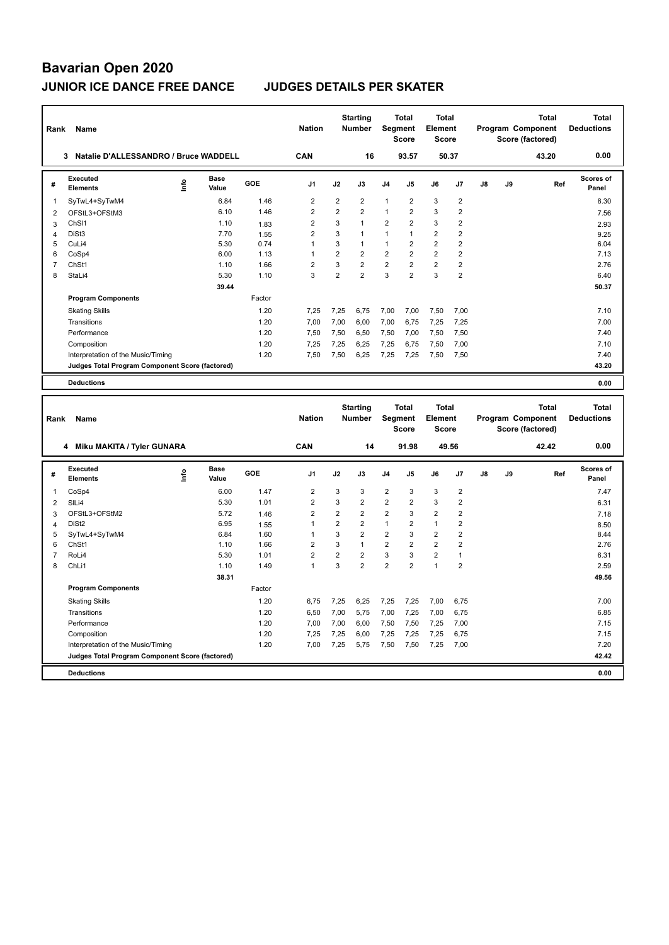| Rank                         | Name                                            |                                  |                      |              | <b>Nation</b>  |                | <b>Starting</b><br><b>Number</b> |                         | Total<br>Segment<br><b>Score</b> | Total<br>Element<br><b>Score</b>        |                |               | Program Component<br>Score (factored) |       | <b>Total</b> | <b>Total</b><br><b>Deductions</b> |
|------------------------------|-------------------------------------------------|----------------------------------|----------------------|--------------|----------------|----------------|----------------------------------|-------------------------|----------------------------------|-----------------------------------------|----------------|---------------|---------------------------------------|-------|--------------|-----------------------------------|
|                              | 3<br>Natalie D'ALLESSANDRO / Bruce WADDELL      |                                  |                      |              | CAN            |                | 16                               |                         | 93.57                            | 50.37                                   |                |               |                                       | 43.20 |              | 0.00                              |
| #                            | Executed<br>Elements                            | ۴ů                               | Base<br>Value        | GOE          | J1             | J2             | J3                               | J4                      | J5                               | J6                                      | J7             | $\mathsf{J}8$ | J9                                    |       | Ref          | <b>Scores of</b><br>Panel         |
| $\mathbf{1}$                 | SyTwL4+SyTwM4                                   |                                  | 6.84                 | 1.46         | $\sqrt{2}$     | $\overline{2}$ | $\overline{2}$                   | $\mathbf{1}$            | $\overline{2}$                   | 3                                       | $\overline{2}$ |               |                                       |       |              | 8.30                              |
| $\boldsymbol{2}$             | OFStL3+OFStM3                                   |                                  | 6.10                 | 1.46         | $\overline{2}$ | $\overline{2}$ | $\overline{2}$                   | $\mathbf{1}$            | $\overline{2}$                   | 3                                       | $\overline{2}$ |               |                                       |       |              | 7.56                              |
| 3                            | ChS <sub>11</sub>                               |                                  | 1.10                 | 1.83         | $\overline{2}$ | 3              | $\mathbf{1}$                     | $\overline{2}$          | $\overline{2}$                   | 3                                       | $\overline{2}$ |               |                                       |       |              | 2.93                              |
| $\overline{4}$               | DiSt3                                           |                                  | 7.70                 | 1.55         | $\overline{2}$ | 3              | 1                                | $\mathbf{1}$            | $\mathbf{1}$                     | $\overline{2}$                          | $\overline{2}$ |               |                                       |       |              | 9.25                              |
| 5                            | CuLi4                                           |                                  | 5.30                 | 0.74         | $\mathbf{1}$   | 3              | $\mathbf{1}$                     | $\mathbf{1}$            | $\overline{2}$                   | $\overline{2}$                          | $\overline{2}$ |               |                                       |       |              | 6.04                              |
| 6                            | CoSp4                                           |                                  | 6.00                 | 1.13         | $\mathbf{1}$   | $\overline{2}$ | $\overline{2}$                   | $\overline{2}$          | $\overline{2}$                   | $\overline{2}$                          | $\overline{2}$ |               |                                       |       |              | 7.13                              |
| $\overline{7}$               | ChSt1                                           |                                  | 1.10                 | 1.66         | $\overline{2}$ | 3              | $\overline{2}$                   | $\overline{2}$          | $\overline{2}$                   | $\overline{2}$                          | $\overline{2}$ |               |                                       |       |              | 2.76                              |
| 8                            | StaLi4                                          |                                  | 5.30                 | 1.10         | $\overline{3}$ | $\overline{2}$ | $\overline{2}$                   | 3                       | $\overline{2}$                   | 3                                       | $\overline{2}$ |               |                                       |       |              | 6.40                              |
|                              |                                                 |                                  | 39.44                |              |                |                |                                  |                         |                                  |                                         |                |               |                                       |       |              | 50.37                             |
|                              | <b>Program Components</b>                       |                                  |                      | Factor       |                |                |                                  |                         |                                  |                                         |                |               |                                       |       |              |                                   |
|                              | <b>Skating Skills</b>                           |                                  |                      | 1.20         | 7,25           | 7,25           | 6,75                             | 7,00                    | 7,00                             | 7,50                                    | 7,00           |               |                                       |       |              | 7.10                              |
|                              | Transitions                                     |                                  |                      | 1.20         | 7,00           | 7,00           | 6,00                             | 7,00                    | 6,75                             | 7,25                                    | 7,25           |               |                                       |       |              | 7.00                              |
|                              | Performance                                     |                                  |                      | 1.20         | 7.50           | 7,50           | 6,50                             | 7,50                    | 7,00                             | 7,50                                    | 7,50           |               |                                       |       |              | 7.40                              |
|                              | Composition                                     |                                  |                      | 1.20         | 7,25           | 7,25           | 6,25                             | 7,25                    | 6,75                             | 7,50                                    | 7,00           |               |                                       |       |              | 7.10                              |
|                              | Interpretation of the Music/Timing              |                                  |                      | 1.20         | 7,50           | 7,50           | 6,25                             | 7,25                    | 7,25                             | 7,50                                    | 7,50           |               |                                       |       |              | 7.40                              |
|                              | Judges Total Program Component Score (factored) |                                  |                      |              |                |                |                                  |                         |                                  |                                         |                |               |                                       |       |              | 43.20                             |
|                              | <b>Deductions</b>                               |                                  |                      |              |                |                |                                  |                         |                                  |                                         |                |               |                                       |       |              | 0.00                              |
|                              |                                                 |                                  |                      |              |                |                |                                  |                         |                                  |                                         |                |               |                                       |       |              |                                   |
| Rank                         | Name                                            |                                  |                      |              | <b>Nation</b>  |                | <b>Starting</b><br>Number        |                         | Total<br>Segment<br><b>Score</b> | Total<br><b>Element</b><br><b>Score</b> |                |               | Program Component<br>Score (factored) |       | <b>Total</b> | <b>Total</b><br><b>Deductions</b> |
|                              | 4 Miku MAKITA / Tyler GUNARA                    |                                  |                      |              | CAN            |                | 14                               |                         | 91.98                            | 49.56                                   |                |               |                                       | 42.42 |              | 0.00                              |
| #                            | Executed<br><b>Elements</b>                     | $\mathop{\mathsf{Int}}\nolimits$ | <b>Base</b><br>Value | GOE          | J1             | J2             | J3                               | J <sub>4</sub>          | J5                               | J6                                      | J7             | J8            | J9                                    |       | Ref          | Scores of<br>Panel                |
| 1                            | CoSp4                                           |                                  | 6.00                 | 1.47         | $\overline{2}$ | 3              | 3                                | $\overline{2}$          | 3                                | 3                                       | $\overline{2}$ |               |                                       |       |              | 7.47                              |
|                              | SILi4                                           |                                  | 5.30                 | 1.01         | $\overline{2}$ | 3              | $\overline{2}$                   | $\overline{2}$          | $\overline{2}$                   | 3                                       | $\overline{2}$ |               |                                       |       |              |                                   |
| $\overline{\mathbf{c}}$      | OFStL3+OFStM2                                   |                                  | 5.72                 |              | $\overline{2}$ | $\overline{2}$ | $\overline{2}$                   | $\overline{2}$          | 3                                | $\overline{2}$                          | $\overline{2}$ |               |                                       |       |              | 6.31                              |
| 3<br>$\overline{\mathbf{4}}$ | DiSt <sub>2</sub>                               |                                  | 6.95                 | 1.46<br>1.55 | $\mathbf{1}$   | $\overline{2}$ | $\overline{2}$                   | $\mathbf{1}$            | $\overline{2}$                   | $\mathbf{1}$                            | $\overline{2}$ |               |                                       |       |              | 7.18<br>8.50                      |
| 5                            | SyTwL4+SyTwM4                                   |                                  | 6.84                 | 1.60         | $\mathbf{1}$   | 3              | $\overline{2}$                   | $\overline{\mathbf{c}}$ | 3                                | $\overline{\mathbf{c}}$                 | $\sqrt{2}$     |               |                                       |       |              | 8.44                              |
| 6                            | ChSt1                                           |                                  | 1.10                 | 1.66         | $\overline{2}$ | 3              | $\mathbf{1}$                     | $\overline{2}$          | $\overline{2}$                   | $\overline{2}$                          | $\overline{2}$ |               |                                       |       |              | 2.76                              |
| $\overline{7}$               | RoLi4                                           |                                  | 5.30                 | 1.01         | $\overline{2}$ | $\overline{2}$ | $\overline{2}$                   | $\mathsf 3$             | 3                                | $\overline{2}$                          | $\mathbf{1}$   |               |                                       |       |              | 6.31                              |
| 8                            | ChLi1                                           |                                  | 1.10                 | 1.49         | $\mathbf{1}$   | 3              | $\overline{2}$                   | $\overline{2}$          | $\overline{2}$                   | $\mathbf{1}$                            | $\overline{2}$ |               |                                       |       |              | 2.59                              |
|                              |                                                 |                                  | 38.31                |              |                |                |                                  |                         |                                  |                                         |                |               |                                       |       |              | 49.56                             |
|                              | <b>Program Components</b>                       |                                  |                      | Factor       |                |                |                                  |                         |                                  |                                         |                |               |                                       |       |              |                                   |
|                              | <b>Skating Skills</b>                           |                                  |                      | 1.20         | 6,75           | 7,25           | 6,25                             | 7,25                    | 7,25                             | 7,00                                    | 6,75           |               |                                       |       |              | 7.00                              |
|                              | Transitions                                     |                                  |                      | 1.20         | 6,50           | 7,00           | 5,75                             | 7,00                    | 7,25                             | 7,00                                    | 6,75           |               |                                       |       |              | 6.85                              |
|                              | Performance                                     |                                  |                      | 1.20         | 7,00           | 7,00           | 6,00                             | 7,50                    | 7,50                             | 7,25                                    | 7,00           |               |                                       |       |              | 7.15                              |
|                              | Composition                                     |                                  |                      | 1.20         | 7,25           | 7,25           | 6,00                             | 7,25                    | 7,25                             | 7,25                                    | 6,75           |               |                                       |       |              | 7.15                              |
|                              | Interpretation of the Music/Timing              |                                  |                      | 1.20         | 7,00           | 7,25           | 5,75                             | 7,50                    | 7,50                             | 7,25                                    | 7,00           |               |                                       |       |              | 7.20                              |
|                              | Judges Total Program Component Score (factored) |                                  |                      |              |                |                |                                  |                         |                                  |                                         |                |               |                                       |       |              | 42.42                             |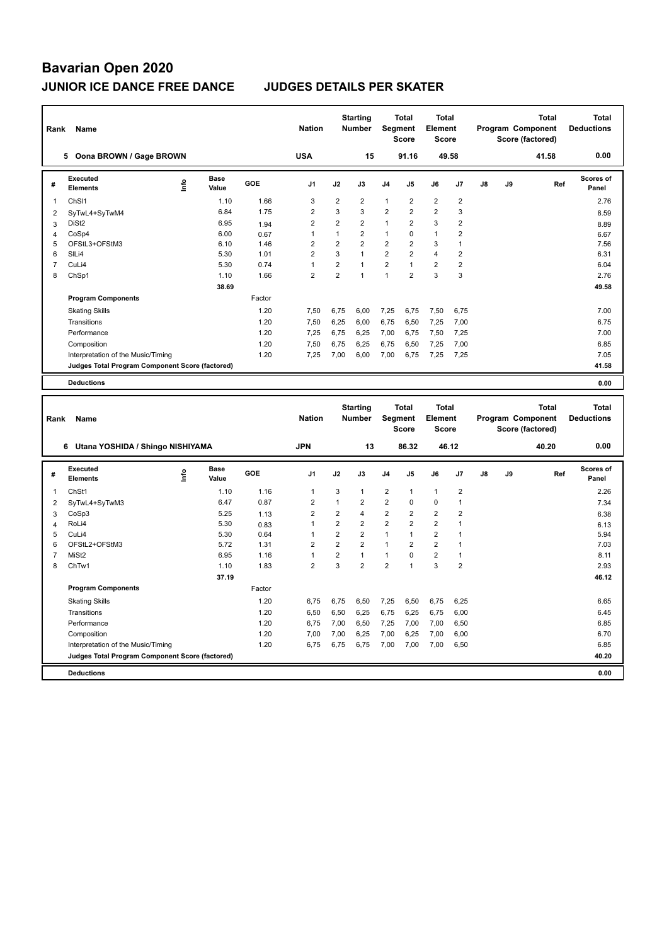| Rank                | Name                                                                                  |      |                      |              | <b>Nation</b>                  |                 | <b>Starting</b><br><b>Number</b> | Segment                      | <b>Total</b><br><b>Score</b> | <b>Total</b><br>Element<br><b>Score</b> |                              |    | Program Component | Score (factored) | <b>Total</b> | <b>Total</b><br><b>Deductions</b> |
|---------------------|---------------------------------------------------------------------------------------|------|----------------------|--------------|--------------------------------|-----------------|----------------------------------|------------------------------|------------------------------|-----------------------------------------|------------------------------|----|-------------------|------------------|--------------|-----------------------------------|
|                     | 5 Oona BROWN / Gage BROWN                                                             |      |                      |              | <b>USA</b>                     |                 | 15                               |                              | 91.16                        |                                         | 49.58                        |    |                   |                  | 41.58        | 0.00                              |
| #                   | <b>Executed</b><br><b>Elements</b>                                                    | ١nf٥ | <b>Base</b><br>Value | <b>GOE</b>   | J1                             | J2              | J3                               | J4                           | J5                           | J6                                      | J7                           | J8 | J9                |                  | Ref          | <b>Scores of</b><br>Panel         |
| 1                   | ChS <sub>11</sub>                                                                     |      | 1.10                 | 1.66         | 3                              | $\overline{2}$  | 2                                | $\mathbf{1}$                 | $\overline{2}$               | $\overline{2}$                          | $\overline{\mathbf{c}}$      |    |                   |                  |              | 2.76                              |
| $\overline{2}$      | SyTwL4+SyTwM4                                                                         |      | 6.84                 | 1.75         | $\overline{2}$                 | 3               | 3                                | $\overline{2}$               | $\overline{2}$               | $\overline{2}$                          | 3                            |    |                   |                  |              | 8.59                              |
| 3                   | DiSt <sub>2</sub>                                                                     |      | 6.95                 | 1.94         | $\overline{2}$                 | $\overline{2}$  | $\overline{2}$                   | $\mathbf{1}$                 | $\overline{2}$               | $\mathbf{3}$                            | $\overline{2}$               |    |                   |                  |              | 8.89                              |
| 4                   | CoSp4                                                                                 |      | 6.00                 | 0.67         | $\mathbf{1}$                   | $\mathbf{1}$    | $\overline{2}$                   | $\mathbf{1}$                 | 0                            | $\mathbf{1}$                            | $\overline{2}$               |    |                   |                  |              | 6.67                              |
| 5                   | OFStL3+OFStM3                                                                         |      | 6.10                 | 1.46         | $\overline{2}$                 | $\overline{2}$  | $\overline{2}$                   | $\overline{2}$               | $\overline{2}$               | $\mathbf{3}$                            | $\mathbf{1}$                 |    |                   |                  |              | 7.56                              |
| 6                   | SILi4                                                                                 |      | 5.30                 | 1.01         | $\overline{2}$                 | 3               | $\mathbf{1}$                     | $\overline{2}$               | $\overline{2}$               | $\overline{4}$                          | $\overline{2}$               |    |                   |                  |              | 6.31                              |
| $\overline{7}$      | CuLi4                                                                                 |      | 5.30                 | 0.74         | $\mathbf{1}$                   | $\overline{2}$  | $\mathbf{1}$                     | $\overline{2}$               | $\mathbf{1}$                 | $\overline{2}$                          | $\overline{2}$               |    |                   |                  |              | 6.04                              |
| 8                   | ChSp1                                                                                 |      | 1.10                 | 1.66         | $\overline{2}$                 | $\overline{2}$  | $\mathbf{1}$                     | $\mathbf{1}$                 | $\overline{2}$               | $\overline{3}$                          | 3                            |    |                   |                  |              | 2.76                              |
|                     |                                                                                       |      | 38.69                |              |                                |                 |                                  |                              |                              |                                         |                              |    |                   |                  |              | 49.58                             |
|                     | <b>Program Components</b>                                                             |      |                      | Factor       |                                |                 |                                  |                              |                              |                                         |                              |    |                   |                  |              |                                   |
|                     | <b>Skating Skills</b>                                                                 |      |                      | 1.20         | 7,50                           | 6,75            | 6,00                             | 7,25                         | 6,75                         | 7,50                                    | 6,75                         |    |                   |                  |              | 7.00                              |
|                     | Transitions                                                                           |      |                      | 1.20         | 7,50                           | 6,25            | 6,00                             | 6,75                         | 6,50                         | 7,25                                    | 7,00                         |    |                   |                  |              | 6.75                              |
|                     | Performance                                                                           |      |                      | 1.20         | 7,25                           | 6,75            | 6,25                             | 7,00                         | 6,75                         | 7,50                                    | 7,25                         |    |                   |                  |              | 7.00                              |
|                     | Composition                                                                           |      |                      | 1.20         | 7,50                           | 6,75            | 6,25                             | 6,75                         | 6,50                         | 7,25                                    | 7,00                         |    |                   |                  |              | 6.85                              |
|                     | Interpretation of the Music/Timing                                                    |      |                      | 1.20         | 7,25                           | 7,00            | 6,00                             | 7,00                         | 6,75                         | 7,25                                    | 7,25                         |    |                   |                  |              | 7.05                              |
|                     | Judges Total Program Component Score (factored)                                       |      |                      |              |                                |                 |                                  |                              |                              |                                         |                              |    |                   |                  |              | 41.58                             |
|                     | <b>Deductions</b>                                                                     |      |                      |              |                                |                 |                                  |                              |                              |                                         |                              |    |                   |                  |              | 0.00                              |
|                     |                                                                                       |      |                      |              |                                |                 |                                  |                              |                              |                                         |                              |    |                   |                  |              |                                   |
|                     |                                                                                       |      |                      |              |                                |                 |                                  |                              |                              |                                         |                              |    |                   |                  |              |                                   |
| Rank                | Name                                                                                  |      |                      |              | <b>Nation</b>                  |                 | <b>Starting</b><br>Number        | Segment                      | <b>Total</b><br><b>Score</b> | <b>Total</b><br>Element<br>Score        |                              |    | Program Component | Score (factored) | <b>Total</b> | <b>Total</b><br><b>Deductions</b> |
|                     | 6 Utana YOSHIDA / Shingo NISHIYAMA                                                    |      |                      |              | <b>JPN</b>                     |                 | 13                               |                              | 86.32                        |                                         | 46.12                        |    |                   |                  | 40.20        | 0.00                              |
| #                   | <b>Executed</b><br><b>Elements</b>                                                    |      | Base<br>Value        | GOE          | J1                             | J2              | J3                               | J4                           | J5                           | J6                                      | J7                           | J8 | J9                |                  | Ref          | <b>Scores of</b><br>Panel         |
|                     |                                                                                       | lnfo |                      |              |                                |                 |                                  |                              |                              |                                         |                              |    |                   |                  |              |                                   |
| 1                   | ChSt1                                                                                 |      | 1.10                 | 1.16         | 1                              | 3               | $\mathbf{1}$                     | $\overline{2}$               | 1                            | $\overline{1}$                          | $\overline{2}$               |    |                   |                  |              | 2.26                              |
| 2                   | SyTwL4+SyTwM3                                                                         |      | 6.47                 | 0.87         | $\overline{2}$                 | $\mathbf{1}$    | $\overline{2}$                   | $\overline{2}$               | 0                            | $\pmb{0}$                               | 1                            |    |                   |                  |              | 7.34                              |
| 3                   | CoSp3                                                                                 |      | 5.25                 | 1.13         | $\overline{2}$                 | $\overline{2}$  | 4                                | $\overline{2}$               | $\overline{2}$               | $\overline{2}$                          | $\overline{2}$               |    |                   |                  |              | 6.38                              |
| 4                   | RoLi4                                                                                 |      | 5.30                 | 0.83         | $\mathbf{1}$                   | $\overline{2}$  | 2                                | $\overline{2}$               | $\overline{2}$               | $\overline{2}$                          | $\mathbf{1}$<br>$\mathbf{1}$ |    |                   |                  |              | 6.13                              |
| 5                   | CuLi4                                                                                 |      | 5.30                 | 0.64         | $\mathbf{1}$                   | $\overline{2}$  | 2                                | $\mathbf{1}$                 | $\mathbf{1}$                 | $\overline{2}$                          | 1                            |    |                   |                  |              | 5.94                              |
| 6<br>$\overline{7}$ | OFStL2+OFStM3<br>MiSt <sub>2</sub>                                                    |      | 5.72<br>6.95         | 1.31<br>1.16 | $\overline{2}$<br>$\mathbf{1}$ | $\overline{2}$  | $\overline{2}$<br>$\mathbf{1}$   | $\mathbf{1}$<br>$\mathbf{1}$ | $\overline{2}$<br>0          | $\overline{2}$                          | $\mathbf{1}$                 |    |                   |                  |              | 7.03                              |
| 8                   | ChTw1                                                                                 |      | 1.10                 | 1.83         | $\overline{2}$                 | $\sqrt{2}$<br>3 | $\overline{2}$                   | $\overline{2}$               | $\mathbf{1}$                 | $\sqrt{2}$<br>$\mathbf{3}$              | $\overline{2}$               |    |                   |                  |              | 8.11<br>2.93                      |
|                     |                                                                                       |      | 37.19                |              |                                |                 |                                  |                              |                              |                                         |                              |    |                   |                  |              | 46.12                             |
|                     | <b>Program Components</b>                                                             |      |                      | Factor       |                                |                 |                                  |                              |                              |                                         |                              |    |                   |                  |              |                                   |
|                     |                                                                                       |      |                      |              |                                |                 |                                  |                              |                              |                                         |                              |    |                   |                  |              |                                   |
|                     | <b>Skating Skills</b>                                                                 |      |                      | 1.20         | 6,75                           | 6,75            | 6,50                             | 7,25                         | 6,50                         | 6,75                                    | 6,25                         |    |                   |                  |              | 6.65                              |
|                     | Transitions                                                                           |      |                      | 1.20         | 6,50                           | 6,50            | 6,25                             | 6,75                         | 6,25                         | 6,75                                    | 6,00                         |    |                   |                  |              | 6.45                              |
|                     | Performance                                                                           |      |                      | 1.20         | 6,75                           | 7,00            | 6,50                             | 7,25                         | 7,00                         | 7,00                                    | 6,50                         |    |                   |                  |              | 6.85                              |
|                     | Composition                                                                           |      |                      | 1.20         | 7,00                           | 7,00            | 6,25                             | 7,00                         | 6,25                         | 7,00                                    | 6,00                         |    |                   |                  |              | 6.70                              |
|                     | Interpretation of the Music/Timing<br>Judges Total Program Component Score (factored) |      |                      | 1.20         | 6,75                           | 6,75            | 6,75                             | 7,00                         | 7,00                         | 7,00                                    | 6,50                         |    |                   |                  |              | 6.85<br>40.20                     |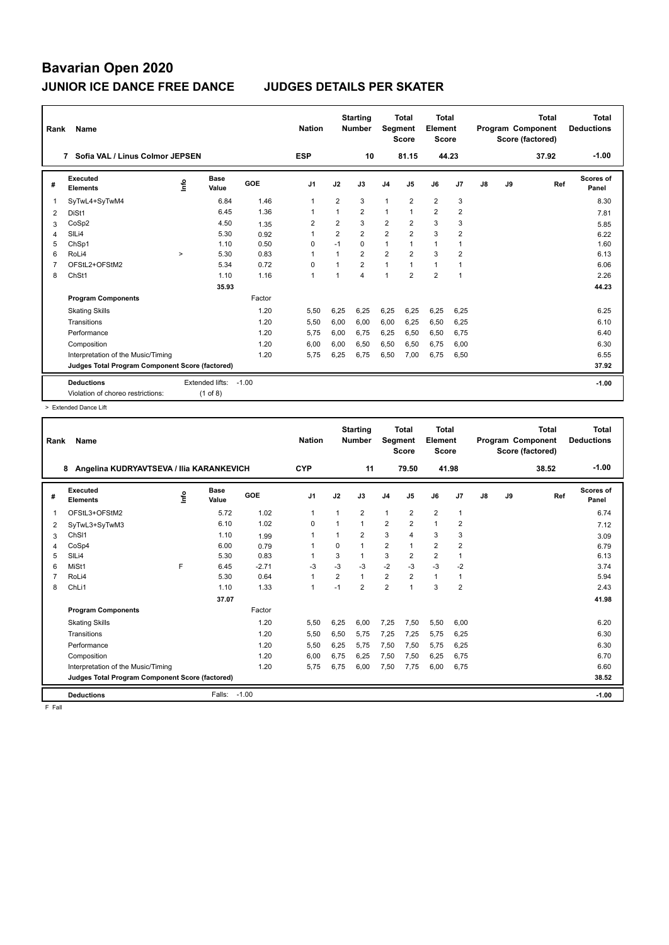| Rank           | Name                                                   |             |                             |         | <b>Nation</b>  |                | <b>Starting</b><br><b>Number</b> | Segment        | <b>Total</b><br><b>Score</b> | Total<br>Element<br><b>Score</b> |                |               |    | <b>Total</b><br>Program Component<br>Score (factored) | <b>Total</b><br><b>Deductions</b> |
|----------------|--------------------------------------------------------|-------------|-----------------------------|---------|----------------|----------------|----------------------------------|----------------|------------------------------|----------------------------------|----------------|---------------|----|-------------------------------------------------------|-----------------------------------|
|                | Sofia VAL / Linus Colmor JEPSEN<br>7                   |             |                             |         | <b>ESP</b>     |                | 10                               |                | 81.15                        | 44.23                            |                |               |    | 37.92                                                 | $-1.00$                           |
| #              | Executed<br><b>Elements</b>                            | <u>lnfo</u> | <b>Base</b><br>Value        | GOE     | J <sub>1</sub> | J2             | J3                               | J <sub>4</sub> | J5                           | J6                               | J7             | $\mathsf{J}8$ | J9 | Ref                                                   | <b>Scores of</b><br>Panel         |
| $\overline{1}$ | SyTwL4+SyTwM4                                          |             | 6.84                        | 1.46    | $\mathbf{1}$   | $\overline{2}$ | 3                                | $\mathbf{1}$   | $\overline{2}$               | $\overline{2}$                   | 3              |               |    |                                                       | 8.30                              |
| 2              | DiSt1                                                  |             | 6.45                        | 1.36    | 1              |                | $\overline{2}$                   | $\mathbf{1}$   | $\overline{1}$               | $\overline{2}$                   | $\overline{2}$ |               |    |                                                       | 7.81                              |
| 3              | CoSp2                                                  |             | 4.50                        | 1.35    | $\overline{2}$ | $\overline{2}$ | 3                                | $\overline{2}$ | $\overline{2}$               | 3                                | 3              |               |    |                                                       | 5.85                              |
| 4              | SILi4                                                  |             | 5.30                        | 0.92    | 1              | $\overline{2}$ | $\overline{2}$                   | $\overline{2}$ | $\overline{2}$               | 3                                | $\overline{2}$ |               |    |                                                       | 6.22                              |
| 5              | ChSp1                                                  |             | 1.10                        | 0.50    | $\Omega$       | $-1$           | $\Omega$                         | $\overline{1}$ |                              | $\mathbf{1}$                     | 1              |               |    |                                                       | 1.60                              |
| 6              | RoLi4                                                  | $\geq$      | 5.30                        | 0.83    | 1              | $\overline{ }$ | $\overline{2}$                   | $\overline{2}$ | $\overline{2}$               | 3                                | $\overline{2}$ |               |    |                                                       | 6.13                              |
| $\overline{7}$ | OFStL2+OFStM2                                          |             | 5.34                        | 0.72    | 0              |                | $\overline{2}$                   | $\mathbf{1}$   | $\overline{1}$               | $\mathbf{1}$                     | 1              |               |    |                                                       | 6.06                              |
| 8              | ChSt1                                                  |             | 1.10                        | 1.16    | $\mathbf{1}$   |                | 4                                | 1              | $\overline{2}$               | $\overline{2}$                   | 1              |               |    |                                                       | 2.26                              |
|                |                                                        |             | 35.93                       |         |                |                |                                  |                |                              |                                  |                |               |    |                                                       | 44.23                             |
|                | <b>Program Components</b>                              |             |                             | Factor  |                |                |                                  |                |                              |                                  |                |               |    |                                                       |                                   |
|                | <b>Skating Skills</b>                                  |             |                             | 1.20    | 5,50           | 6,25           | 6,25                             | 6,25           | 6,25                         | 6,25                             | 6,25           |               |    |                                                       | 6.25                              |
|                | Transitions                                            |             |                             | 1.20    | 5,50           | 6,00           | 6,00                             | 6,00           | 6,25                         | 6,50                             | 6,25           |               |    |                                                       | 6.10                              |
|                | Performance                                            |             |                             | 1.20    | 5.75           | 6.00           | 6.75                             | 6,25           | 6,50                         | 6,50                             | 6,75           |               |    |                                                       | 6.40                              |
|                | Composition                                            |             |                             | 1.20    | 6,00           | 6,00           | 6,50                             | 6,50           | 6,50                         | 6,75                             | 6,00           |               |    |                                                       | 6.30                              |
|                | Interpretation of the Music/Timing                     |             |                             | 1.20    | 5,75           | 6,25           | 6,75                             | 6,50           | 7,00                         | 6,75                             | 6,50           |               |    |                                                       | 6.55                              |
|                | Judges Total Program Component Score (factored)        |             |                             |         |                |                |                                  |                |                              |                                  |                |               |    |                                                       | 37.92                             |
|                | <b>Deductions</b><br>Violation of choreo restrictions: |             | Extended lifts:<br>(1 of 8) | $-1.00$ |                |                |                                  |                |                              |                                  |                |               |    |                                                       | $-1.00$                           |

> Extended Dance Lift

| 8                      | Name                                            |      |               |         | <b>Nation</b>  |                | <b>Starting</b><br><b>Number</b> | Segment        | Total<br><b>Score</b> | <b>Total</b><br>Element<br><b>Score</b> |                |    |    | Total<br>Program Component<br>Score (factored) | <b>Total</b><br><b>Deductions</b> |
|------------------------|-------------------------------------------------|------|---------------|---------|----------------|----------------|----------------------------------|----------------|-----------------------|-----------------------------------------|----------------|----|----|------------------------------------------------|-----------------------------------|
|                        | Angelina KUDRYAVTSEVA / Ilia KARANKEVICH        |      |               |         | <b>CYP</b>     |                | 11                               |                | 79.50                 | 41.98                                   |                |    |    | 38.52                                          | $-1.00$                           |
| #                      | Executed<br><b>Elements</b>                     | lnfo | Base<br>Value | GOE     | J <sub>1</sub> | J2             | J3                               | J <sub>4</sub> | J5                    | J6                                      | J7             | J8 | J9 | Ref                                            | Scores of<br>Panel                |
| $\mathbf{1}$           | OFStL3+OFStM2                                   |      | 5.72          | 1.02    | $\mathbf{1}$   | -1             | $\overline{2}$                   | $\mathbf{1}$   | $\overline{2}$        | $\overline{2}$                          | $\overline{1}$ |    |    |                                                | 6.74                              |
| 2                      | SyTwL3+SyTwM3                                   |      | 6.10          | 1.02    | 0              |                | $\mathbf{1}$                     | 2              | 2                     | $\mathbf{1}$                            | $\overline{2}$ |    |    |                                                | 7.12                              |
| 3                      | ChS <sub>11</sub>                               |      | 1.10          | 1.99    | 1              |                | $\overline{2}$                   | 3              | $\overline{4}$        | 3                                       | 3              |    |    |                                                | 3.09                              |
| $\overline{4}$         | CoSp4                                           |      | 6.00          | 0.79    | 1              | $\Omega$       | 1                                | $\overline{2}$ | $\overline{1}$        | $\overline{2}$                          | $\overline{2}$ |    |    |                                                | 6.79                              |
| SIL <sub>i4</sub><br>5 |                                                 |      | 5.30          | 0.83    | 1              | 3              | 1                                | 3              | $\overline{2}$        | $\overline{2}$                          | $\overline{1}$ |    |    |                                                | 6.13                              |
| MiSt1<br>6             |                                                 | F    | 6.45          | $-2.71$ | $-3$           | $-3$           | $-3$                             | $-2$           | $-3$                  | $-3$                                    | $-2$           |    |    |                                                | 3.74                              |
| 7                      | RoLi4                                           |      | 5.30          | 0.64    | $\mathbf{1}$   | $\overline{2}$ | $\mathbf{1}$                     | $\overline{2}$ | $\overline{2}$        | $\mathbf{1}$                            | 1              |    |    |                                                | 5.94                              |
| ChLi1<br>8             |                                                 |      | 1.10          | 1.33    | $\mathbf{1}$   | $-1$           | $\overline{2}$                   | $\overline{2}$ | $\overline{ }$        | 3                                       | $\overline{2}$ |    |    |                                                | 2.43                              |
|                        |                                                 |      | 37.07         |         |                |                |                                  |                |                       |                                         |                |    |    |                                                | 41.98                             |
|                        | <b>Program Components</b>                       |      |               | Factor  |                |                |                                  |                |                       |                                         |                |    |    |                                                |                                   |
|                        | <b>Skating Skills</b>                           |      |               | 1.20    | 5.50           | 6,25           | 6.00                             | 7,25           | 7.50                  | 5,50                                    | 6.00           |    |    |                                                | 6.20                              |
|                        | Transitions                                     |      |               | 1.20    | 5,50           | 6,50           | 5.75                             | 7,25           | 7,25                  | 5,75                                    | 6,25           |    |    |                                                | 6.30                              |
|                        | Performance                                     |      |               | 1.20    | 5,50           | 6,25           | 5.75                             | 7,50           | 7,50                  | 5,75                                    | 6,25           |    |    |                                                | 6.30                              |
|                        | Composition                                     |      |               | 1.20    | 6,00           | 6,75           | 6,25                             | 7,50           | 7,50                  | 6,25                                    | 6,75           |    |    |                                                | 6.70                              |
|                        | Interpretation of the Music/Timing              |      |               | 1.20    | 5.75           | 6.75           | 6.00                             | 7,50           | 7.75                  | 6,00                                    | 6.75           |    |    |                                                | 6.60                              |
|                        | Judges Total Program Component Score (factored) |      |               |         |                |                |                                  |                |                       |                                         |                |    |    |                                                | 38.52                             |
|                        | <b>Deductions</b>                               |      | Falls:        | $-1.00$ |                |                |                                  |                |                       |                                         |                |    |    |                                                | $-1.00$                           |

F Fall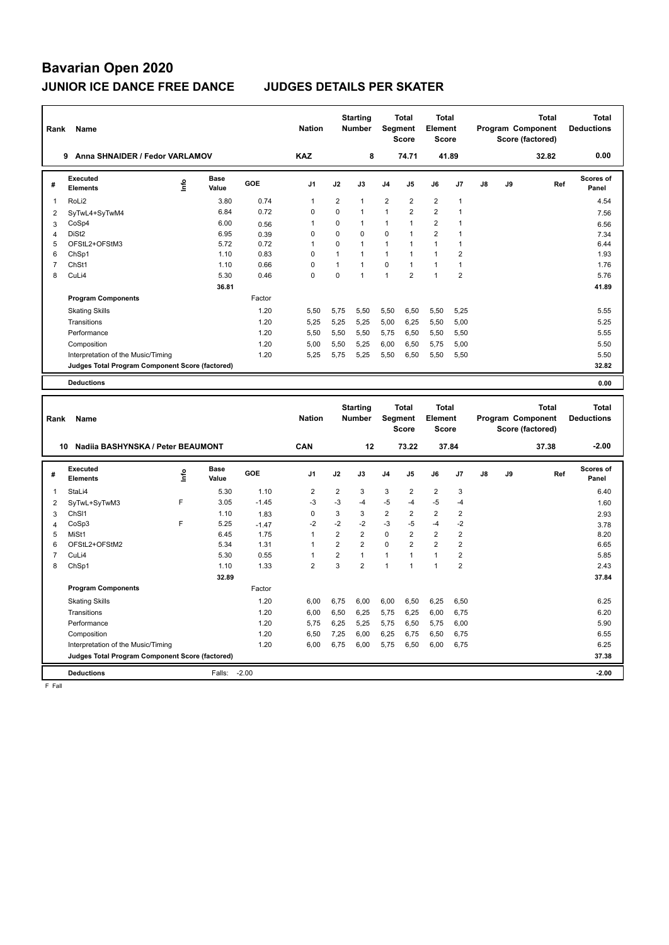| Rank                | Name                                            |      |                      |         | <b>Nation</b>                    |                     | <b>Starting</b><br><b>Number</b> | Segment                      | <b>Total</b><br><b>Score</b> | <b>Total</b><br>Element<br><b>Score</b> |                |    |    | <b>Total</b><br>Program Component<br>Score (factored) |     | <b>Total</b><br><b>Deductions</b> |
|---------------------|-------------------------------------------------|------|----------------------|---------|----------------------------------|---------------------|----------------------------------|------------------------------|------------------------------|-----------------------------------------|----------------|----|----|-------------------------------------------------------|-----|-----------------------------------|
|                     | 9 Anna SHNAIDER / Fedor VARLAMOV                |      |                      |         | <b>KAZ</b>                       |                     | 8                                |                              | 74.71                        | 41.89                                   |                |    |    | 32.82                                                 |     | 0.00                              |
| #                   | Executed<br><b>Elements</b>                     | ١nf٥ | <b>Base</b><br>Value | GOE     | J <sub>1</sub>                   | J2                  | J3                               | J4                           | J5                           | J6                                      | J7             | J8 | J9 |                                                       | Ref | <b>Scores of</b><br>Panel         |
| 1                   | RoLi2                                           |      | 3.80                 | 0.74    | $\mathbf{1}$                     | $\overline{2}$      | 1                                | $\overline{2}$               | $\overline{2}$               | $\overline{2}$                          | $\mathbf{1}$   |    |    |                                                       |     | 4.54                              |
| $\overline{2}$      | SyTwL4+SyTwM4                                   |      | 6.84                 | 0.72    | $\mathbf 0$                      | 0                   | 1                                | $\mathbf{1}$                 | $\overline{\mathbf{c}}$      | $\overline{\mathbf{c}}$                 | $\mathbf{1}$   |    |    |                                                       |     | 7.56                              |
| 3                   | CoSp4                                           |      | 6.00                 | 0.56    | $\overline{1}$                   | $\mathbf 0$         | 1                                | $\mathbf{1}$                 | $\mathbf{1}$                 | $\overline{2}$                          | $\mathbf{1}$   |    |    |                                                       |     | 6.56                              |
| 4                   | DiSt <sub>2</sub>                               |      | 6.95                 | 0.39    | $\mathbf 0$                      | $\mathbf 0$         | 0                                | $\mathbf 0$                  | 1                            | $\overline{2}$                          | $\mathbf{1}$   |    |    |                                                       |     | 7.34                              |
| 5                   | OFStL2+OFStM3                                   |      | 5.72                 | 0.72    | $\mathbf{1}$                     | $\mathbf 0$         | 1                                | $\mathbf{1}$                 | 1                            | $\mathbf{1}$                            | $\mathbf{1}$   |    |    |                                                       |     | 6.44                              |
| 6                   | ChSp1                                           |      | 1.10                 | 0.83    | $\mathbf 0$                      | $\mathbf{1}$        | 1                                | $\mathbf{1}$                 | $\mathbf{1}$                 | $\mathbf{1}$                            | $\overline{2}$ |    |    |                                                       |     | 1.93                              |
| $\overline{7}$      | ChSt1                                           |      | 1.10                 | 0.66    | $\mathbf 0$                      | $\mathbf{1}$        | 1                                | $\mathbf 0$                  | $\mathbf{1}$                 | $\mathbf{1}$                            | $\mathbf{1}$   |    |    |                                                       |     | 1.76                              |
| 8                   | CuLi4                                           |      | 5.30                 | 0.46    | $\mathbf 0$                      | $\mathbf 0$         | $\mathbf{1}$                     | $\mathbf{1}$                 | $\overline{2}$               | $\mathbf{1}$                            | $\overline{2}$ |    |    |                                                       |     | 5.76                              |
|                     |                                                 |      | 36.81                |         |                                  |                     |                                  |                              |                              |                                         |                |    |    |                                                       |     | 41.89                             |
|                     | <b>Program Components</b>                       |      |                      | Factor  |                                  |                     |                                  |                              |                              |                                         |                |    |    |                                                       |     |                                   |
|                     | <b>Skating Skills</b>                           |      |                      | 1.20    | 5,50                             | 5,75                | 5,50                             | 5,50                         | 6,50                         | 5,50                                    | 5,25           |    |    |                                                       |     | 5.55                              |
|                     | Transitions                                     |      |                      | 1.20    | 5,25                             | 5,25                | 5,25                             | 5,00                         | 6,25                         | 5,50                                    | 5,00           |    |    |                                                       |     | 5.25                              |
|                     | Performance                                     |      |                      | 1.20    | 5,50                             | 5,50                | 5,50                             | 5,75                         | 6,50                         | 5,50                                    | 5,50           |    |    |                                                       |     | 5.55                              |
|                     | Composition                                     |      |                      | 1.20    | 5,00                             | 5,50                | 5,25                             | 6,00                         | 6,50                         | 5,75                                    | 5,00           |    |    |                                                       |     | 5.50                              |
|                     | Interpretation of the Music/Timing              |      |                      | 1.20    | 5,25                             | 5,75                | 5,25                             | 5,50                         | 6,50                         | 5,50                                    | 5,50           |    |    |                                                       |     | 5.50                              |
|                     | Judges Total Program Component Score (factored) |      |                      |         |                                  |                     |                                  |                              |                              |                                         |                |    |    |                                                       |     | 32.82                             |
|                     |                                                 |      |                      |         |                                  |                     |                                  |                              |                              |                                         |                |    |    |                                                       |     |                                   |
|                     | <b>Deductions</b>                               |      |                      |         |                                  |                     |                                  |                              |                              |                                         |                |    |    |                                                       |     | 0.00                              |
|                     |                                                 |      |                      |         |                                  |                     |                                  |                              |                              |                                         |                |    |    |                                                       |     |                                   |
|                     |                                                 |      |                      |         |                                  |                     |                                  |                              |                              |                                         |                |    |    |                                                       |     |                                   |
|                     |                                                 |      |                      |         |                                  |                     | <b>Starting</b>                  |                              | <b>Total</b>                 | <b>Total</b>                            |                |    |    | <b>Total</b>                                          |     | <b>Total</b>                      |
| Rank                | Name                                            |      |                      |         | <b>Nation</b>                    |                     | <b>Number</b>                    |                              | <b>Segment</b>               | Element                                 |                |    |    | <b>Program Component</b>                              |     | <b>Deductions</b>                 |
|                     |                                                 |      |                      |         |                                  |                     |                                  |                              | <b>Score</b>                 | <b>Score</b>                            |                |    |    | Score (factored)                                      |     |                                   |
|                     |                                                 |      |                      |         |                                  |                     |                                  |                              |                              |                                         |                |    |    |                                                       |     |                                   |
|                     | 10 Nadiia BASHYNSKA / Peter BEAUMONT            |      |                      |         | CAN                              |                     | 12                               |                              | 73.22                        | 37.84                                   |                |    |    | 37.38                                                 |     | $-2.00$                           |
|                     | Executed                                        |      | <b>Base</b>          |         |                                  |                     |                                  |                              |                              |                                         |                |    |    |                                                       |     | <b>Scores of</b>                  |
| #                   | <b>Elements</b>                                 | ١nfo | Value                | GOE     | J1                               | J2                  | J3                               | J4                           | J5                           | J6                                      | J7             | J8 | J9 |                                                       | Ref | Panel                             |
|                     |                                                 |      |                      |         |                                  |                     |                                  |                              |                              |                                         |                |    |    |                                                       |     |                                   |
| 1                   | StaLi4                                          |      | 5.30                 | 1.10    | $\overline{2}$                   | $\overline{2}$      | 3                                | 3                            | 2                            | $\overline{2}$                          | 3              |    |    |                                                       |     | 6.40                              |
| $\overline{2}$      | SyTwL+SyTwM3                                    | F    | 3.05                 | $-1.45$ | $-3$                             | $-3$                | $-4$                             | $-5$                         | $-4$                         | $-5$                                    | $-4$           |    |    |                                                       |     | 1.60                              |
| 3                   | ChS <sub>11</sub>                               |      | 1.10                 | 1.83    | $\mathbf 0$                      | 3                   | 3                                | $\overline{2}$               | $\overline{2}$               | $\overline{2}$                          | $\overline{2}$ |    |    |                                                       |     | 2.93                              |
| 4                   | CoSp3                                           | F    | 5.25                 | $-1.47$ | $-2$                             | $-2$                | $-2$                             | $-3$                         | $-5$                         | $-4$                                    | $-2$           |    |    |                                                       |     | 3.78                              |
| 5                   | MiSt1                                           |      | 6.45                 | 1.75    | $\mathbf{1}$                     | $\overline{2}$      | $\overline{2}$                   | $\mathbf 0$                  | $\overline{2}$               | $\overline{2}$                          | $\overline{2}$ |    |    |                                                       |     | 8.20                              |
| 6                   | OFStL2+OFStM2                                   |      | 5.34                 | 1.31    | $\mathbf{1}$                     | $\overline{2}$      | $\overline{2}$                   | $\mathbf 0$                  | $\overline{2}$               | $\overline{2}$                          | $\overline{2}$ |    |    |                                                       |     | 6.65                              |
| $\overline{7}$<br>8 | CuLi4                                           |      | 5.30                 | 0.55    | $\overline{1}$<br>$\overline{2}$ | $\overline{2}$<br>3 | $\mathbf{1}$<br>$\overline{2}$   | $\mathbf{1}$<br>$\mathbf{1}$ | 1<br>$\mathbf{1}$            | $\mathbf{1}$<br>$\mathbf{1}$            | $\overline{2}$ |    |    |                                                       |     | 5.85                              |
|                     | ChSp1                                           |      | 1.10                 | 1.33    |                                  |                     |                                  |                              |                              |                                         | $\mathbf 2$    |    |    |                                                       |     | 2.43                              |
|                     |                                                 |      | 32.89                |         |                                  |                     |                                  |                              |                              |                                         |                |    |    |                                                       |     | 37.84                             |
|                     | <b>Program Components</b>                       |      |                      | Factor  |                                  |                     |                                  |                              |                              |                                         |                |    |    |                                                       |     |                                   |
|                     | <b>Skating Skills</b>                           |      |                      | 1.20    | 6,00                             | 6,75                | 6,00                             | 6,00                         | 6,50                         | 6,25                                    | 6,50           |    |    |                                                       |     | 6.25                              |
|                     | Transitions                                     |      |                      | 1.20    | 6,00                             | 6,50                | 6,25                             | 5,75                         | 6,25                         | 6,00                                    | 6,75           |    |    |                                                       |     | 6.20                              |
|                     | Performance                                     |      |                      | 1.20    | 5,75                             | 6,25                | 5,25                             | 5,75                         | 6,50                         | 5,75                                    | 6,00           |    |    |                                                       |     | 5.90                              |
|                     | Composition                                     |      |                      | 1.20    | 6,50                             | 7,25                | 6,00                             | 6,25                         | 6,75                         | 6,50                                    | 6,75           |    |    |                                                       |     | 6.55                              |
|                     | Interpretation of the Music/Timing              |      |                      | 1.20    | 6,00                             | 6,75                | 6,00                             | 5,75                         | 6,50                         | 6,00                                    | 6,75           |    |    |                                                       |     | 6.25                              |
|                     | Judges Total Program Component Score (factored) |      |                      |         |                                  |                     |                                  |                              |                              |                                         |                |    |    |                                                       |     | 37.38                             |

 $F$  Fall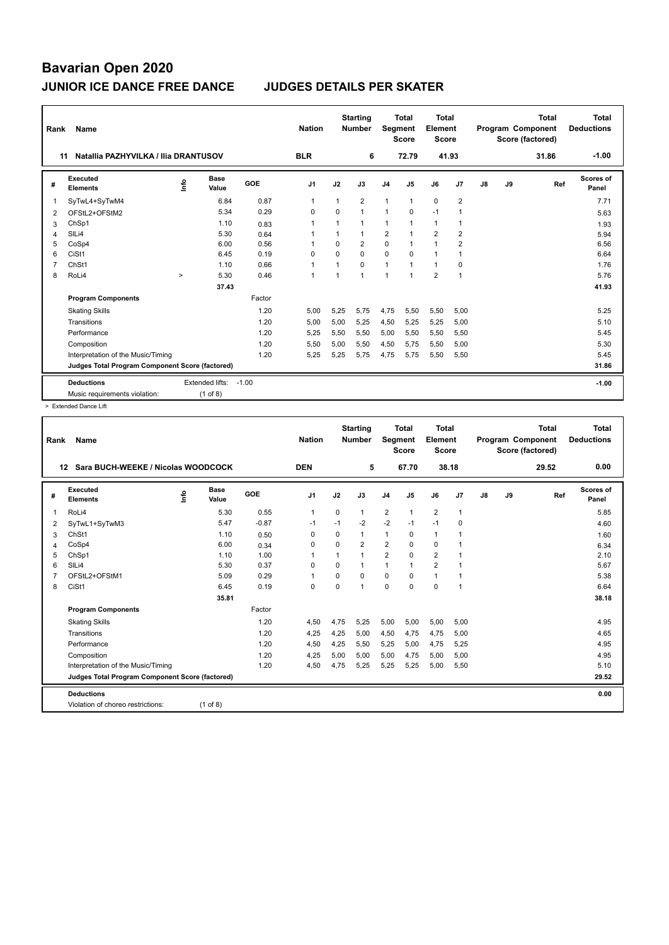| Rank           | Name                                            |        |                 |         | <b>Nation</b>  |                | <b>Starting</b><br><b>Number</b> | Segment        | <b>Total</b><br><b>Score</b> | Total<br>Element<br><b>Score</b> |                |               |    | <b>Total</b><br>Program Component<br>Score (factored) | Total<br><b>Deductions</b> |
|----------------|-------------------------------------------------|--------|-----------------|---------|----------------|----------------|----------------------------------|----------------|------------------------------|----------------------------------|----------------|---------------|----|-------------------------------------------------------|----------------------------|
| 11             | Natallia PAZHYVILKA / Ilia DRANTUSOV            |        |                 |         | <b>BLR</b>     |                | 6                                |                | 72.79                        | 41.93                            |                |               |    | 31.86                                                 | $-1.00$                    |
| #              | Executed<br><b>Elements</b>                     | ۴      | Base<br>Value   | GOE     | J <sub>1</sub> | J2             | J3                               | J <sub>4</sub> | J5                           | J6                               | J7             | $\mathsf{J}8$ | J9 | Ref                                                   | Scores of<br>Panel         |
| $\overline{1}$ | SyTwL4+SyTwM4                                   |        | 6.84            | 0.87    | 1              | -1             | $\overline{2}$                   | $\mathbf{1}$   | 1                            | $\mathbf 0$                      | $\overline{2}$ |               |    |                                                       | 7.71                       |
| 2              | OFStL2+OFStM2                                   |        | 5.34            | 0.29    | $\Omega$       | $\Omega$       | $\mathbf{1}$                     | $\mathbf{1}$   | $\Omega$                     | $-1$                             | -1             |               |    |                                                       | 5.63                       |
| 3              | ChSp1                                           |        | 1.10            | 0.83    | 1              |                | 1                                | $\mathbf{1}$   |                              | $\mathbf{1}$                     | $\mathbf{1}$   |               |    |                                                       | 1.93                       |
| 4              | SILi4                                           |        | 5.30            | 0.64    |                | $\overline{1}$ | $\mathbf{1}$                     | 2              | $\overline{1}$               | $\overline{2}$                   | $\overline{2}$ |               |    |                                                       | 5.94                       |
| 5              | CoSp4                                           |        | 6.00            | 0.56    |                | $\Omega$       | $\overline{2}$                   | $\mathbf 0$    | $\overline{1}$               | $\overline{1}$                   | $\overline{2}$ |               |    |                                                       | 6.56                       |
| 6              | CiSt1                                           |        | 6.45            | 0.19    | 0              | $\Omega$       | 0                                | $\mathbf 0$    | $\Omega$                     | $\mathbf{1}$                     | 1              |               |    |                                                       | 6.64                       |
| $\overline{7}$ | ChSt1                                           |        | 1.10            | 0.66    | $\mathbf{1}$   |                | $\Omega$                         | $\mathbf{1}$   | $\overline{1}$               | $\mathbf{1}$                     | 0              |               |    |                                                       | 1.76                       |
| 8              | RoLi4                                           | $\geq$ | 5.30            | 0.46    | $\mathbf{1}$   |                | $\mathbf{1}$                     | $\overline{1}$ | 1                            | $\overline{2}$                   | $\mathbf{1}$   |               |    |                                                       | 5.76                       |
|                |                                                 |        | 37.43           |         |                |                |                                  |                |                              |                                  |                |               |    |                                                       | 41.93                      |
|                | <b>Program Components</b>                       |        |                 | Factor  |                |                |                                  |                |                              |                                  |                |               |    |                                                       |                            |
|                | <b>Skating Skills</b>                           |        |                 | 1.20    | 5,00           | 5,25           | 5,75                             | 4,75           | 5,50                         | 5,50                             | 5,00           |               |    |                                                       | 5.25                       |
|                | Transitions                                     |        |                 | 1.20    | 5,00           | 5,00           | 5,25                             | 4,50           | 5,25                         | 5,25                             | 5,00           |               |    |                                                       | 5.10                       |
|                | Performance                                     |        |                 | 1.20    | 5,25           | 5,50           | 5,50                             | 5,00           | 5,50                         | 5,50                             | 5,50           |               |    |                                                       | 5.45                       |
|                | Composition                                     |        |                 | 1.20    | 5,50           | 5,00           | 5,50                             | 4,50           | 5,75                         | 5,50                             | 5,00           |               |    |                                                       | 5.30                       |
|                | Interpretation of the Music/Timing              |        |                 | 1.20    | 5.25           | 5,25           | 5.75                             | 4,75           | 5,75                         | 5,50                             | 5,50           |               |    |                                                       | 5.45                       |
|                | Judges Total Program Component Score (factored) |        |                 |         |                |                |                                  |                |                              |                                  |                |               |    |                                                       | 31.86                      |
|                | <b>Deductions</b>                               |        | Extended lifts: | $-1.00$ |                |                |                                  |                |                              |                                  |                |               |    |                                                       | $-1.00$                    |
|                | Music requirements violation:                   |        | $(1$ of 8)      |         |                |                |                                  |                |                              |                                  |                |               |    |                                                       |                            |

> Extended Dance Lift

| Rank           | Name                                            |                      |         | <b>Nation</b>  |          | <b>Starting</b><br><b>Number</b> | <b>Segment</b> | Total<br><b>Score</b> | Total<br>Element<br><b>Score</b> |                |               |    | <b>Total</b><br>Program Component<br>Score (factored) | Total<br><b>Deductions</b> |
|----------------|-------------------------------------------------|----------------------|---------|----------------|----------|----------------------------------|----------------|-----------------------|----------------------------------|----------------|---------------|----|-------------------------------------------------------|----------------------------|
| 12             | Sara BUCH-WEEKE / Nicolas WOODCOCK              |                      |         | <b>DEN</b>     |          | 5                                |                | 67.70                 | 38.18                            |                |               |    | 29.52                                                 | 0.00                       |
| #              | Executed<br>١nf٥<br><b>Elements</b>             | <b>Base</b><br>Value | GOE     | J <sub>1</sub> | J2       | J3                               | J <sub>4</sub> | J <sub>5</sub>        | J6                               | J <sub>7</sub> | $\mathsf{J}8$ | J9 | Ref                                                   | Scores of<br>Panel         |
| $\overline{1}$ | RoLi4                                           | 5.30                 | 0.55    | $\mathbf{1}$   | $\Omega$ | 1                                | $\overline{2}$ | $\mathbf{1}$          | $\overline{2}$                   | $\overline{1}$ |               |    |                                                       | 5.85                       |
| 2              | SyTwL1+SyTwM3                                   | 5.47                 | $-0.87$ | $-1$           | $-1$     | $-2$                             | $-2$           | $-1$                  | $-1$                             | $\mathbf 0$    |               |    |                                                       | 4.60                       |
| 3              | ChSt1                                           | 1.10                 | 0.50    | 0              | $\Omega$ | 1                                | $\mathbf{1}$   | 0                     | $\mathbf{1}$                     | $\overline{1}$ |               |    |                                                       | 1.60                       |
| 4              | CoSp4                                           | 6.00                 | 0.34    | $\Omega$       | $\Omega$ | $\overline{2}$                   | $\overline{2}$ | $\Omega$              | $\mathbf 0$                      | 1              |               |    |                                                       | 6.34                       |
| 5              | ChSp1                                           | 1.10                 | 1.00    | 1              | 1        | 1                                | $\overline{2}$ | $\Omega$              | $\overline{2}$                   | -1             |               |    |                                                       | 2.10                       |
| 6              | SILi4                                           | 5.30                 | 0.37    | $\mathbf 0$    | 0        | 1                                | $\mathbf{1}$   | $\mathbf{1}$          | $\overline{2}$                   | $\overline{1}$ |               |    |                                                       | 5.67                       |
| $\overline{7}$ | OFStL2+OFStM1                                   | 5.09                 | 0.29    | $\overline{1}$ | $\Omega$ | $\Omega$                         | $\Omega$       | $\Omega$              | $\mathbf{1}$                     | 1              |               |    |                                                       | 5.38                       |
| 8              | CiSt1                                           | 6.45                 | 0.19    | $\Omega$       | $\Omega$ | $\overline{1}$                   | $\Omega$       | $\Omega$              | $\Omega$                         | $\overline{1}$ |               |    |                                                       | 6.64                       |
|                |                                                 | 35.81                |         |                |          |                                  |                |                       |                                  |                |               |    |                                                       | 38.18                      |
|                | <b>Program Components</b>                       |                      | Factor  |                |          |                                  |                |                       |                                  |                |               |    |                                                       |                            |
|                | <b>Skating Skills</b>                           |                      | 1.20    | 4,50           | 4,75     | 5,25                             | 5,00           | 5,00                  | 5,00                             | 5,00           |               |    |                                                       | 4.95                       |
|                | Transitions                                     |                      | 1.20    | 4,25           | 4,25     | 5,00                             | 4,50           | 4,75                  | 4,75                             | 5,00           |               |    |                                                       | 4.65                       |
|                | Performance                                     |                      | 1.20    | 4,50           | 4,25     | 5,50                             | 5,25           | 5,00                  | 4,75                             | 5,25           |               |    |                                                       | 4.95                       |
|                | Composition                                     |                      | 1.20    | 4,25           | 5,00     | 5,00                             | 5,00           | 4,75                  | 5,00                             | 5,00           |               |    |                                                       | 4.95                       |
|                | Interpretation of the Music/Timing              |                      | 1.20    | 4,50           | 4,75     | 5,25                             | 5,25           | 5,25                  | 5,00                             | 5,50           |               |    |                                                       | 5.10                       |
|                | Judges Total Program Component Score (factored) |                      |         |                |          |                                  |                |                       |                                  |                |               |    |                                                       | 29.52                      |
|                | <b>Deductions</b>                               |                      |         |                |          |                                  |                |                       |                                  |                |               |    |                                                       | 0.00                       |
|                | Violation of choreo restrictions:               | $(1$ of 8)           |         |                |          |                                  |                |                       |                                  |                |               |    |                                                       |                            |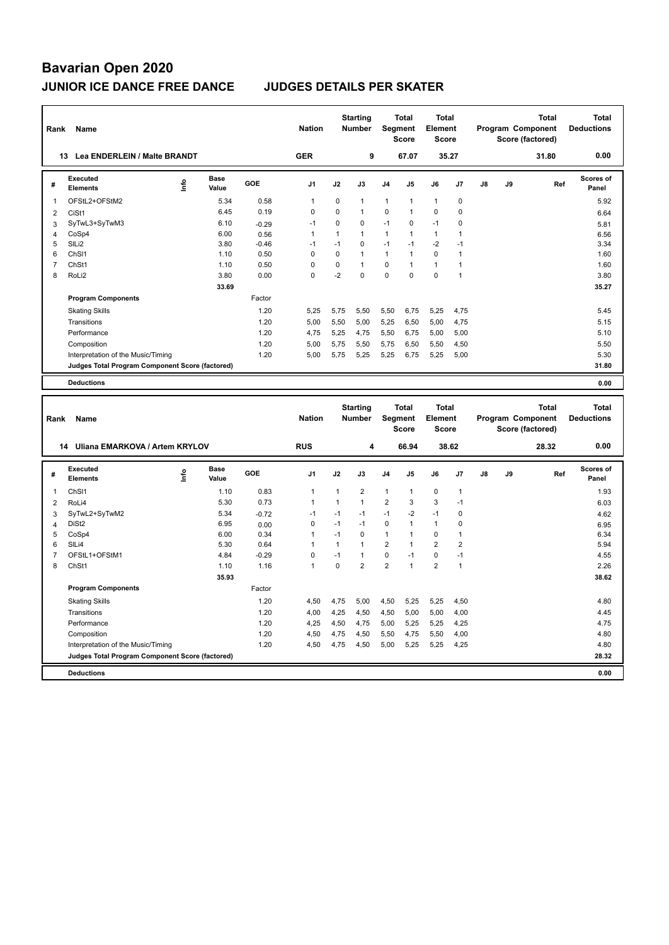| Rank                    | Name                                            |                           |                      |         | <b>Nation</b>  |              | <b>Starting</b><br><b>Number</b> |                | Total<br>Segment<br><b>Score</b> | Total<br>Element<br><b>Score</b> |                |               | Program Component<br>Score (factored) | <b>Total</b> |     | <b>Total</b><br><b>Deductions</b> |
|-------------------------|-------------------------------------------------|---------------------------|----------------------|---------|----------------|--------------|----------------------------------|----------------|----------------------------------|----------------------------------|----------------|---------------|---------------------------------------|--------------|-----|-----------------------------------|
|                         | 13 Lea ENDERLEIN / Malte BRANDT                 |                           |                      |         | <b>GER</b>     |              | 9                                |                | 67.07                            | 35.27                            |                |               |                                       | 31.80        |     | 0.00                              |
| #                       | Executed<br>Elements                            | ۴ů                        | <b>Base</b><br>Value | GOE     | J1             | J2           | J3                               | J4             | J5                               | J6                               | J7             | $\mathsf{J}8$ | J9                                    |              | Ref | <b>Scores of</b><br>Panel         |
| 1                       | OFStL2+OFStM2                                   |                           | 5.34                 | 0.58    | $\mathbf{1}$   | 0            | $\mathbf{1}$                     | $\mathbf{1}$   | 1                                | $\mathbf{1}$                     | $\pmb{0}$      |               |                                       |              |     | 5.92                              |
| $\overline{2}$          | CiSt1                                           |                           | 6.45                 | 0.19    | $\mathbf 0$    | 0            | 1                                | $\mathbf 0$    | 1                                | 0                                | $\mathbf 0$    |               |                                       |              |     | 6.64                              |
| 3                       | SyTwL3+SyTwM3                                   |                           | 6.10                 | $-0.29$ | $-1$           | $\mathbf 0$  | 0                                | $-1$           | $\mathbf 0$                      | $-1$                             | $\mathbf 0$    |               |                                       |              |     | 5.81                              |
| 4                       | CoSp4                                           |                           | 6.00                 | 0.56    | $\mathbf{1}$   | $\mathbf{1}$ | $\mathbf{1}$                     | $\mathbf{1}$   | $\mathbf{1}$                     | $\mathbf{1}$                     | $\overline{1}$ |               |                                       |              |     | 6.56                              |
| 5                       | SILi2                                           |                           | 3.80                 | $-0.46$ | $-1$           | $-1$         | 0                                | $-1$           | $-1$                             | $-2$                             | $-1$           |               |                                       |              |     | 3.34                              |
| 6                       | ChS <sub>11</sub>                               |                           | 1.10                 | 0.50    | $\mathbf 0$    | $\mathbf 0$  | 1                                | $\mathbf{1}$   | $\mathbf{1}$                     | $\mathbf 0$                      | $\overline{1}$ |               |                                       |              |     | 1.60                              |
| $\overline{7}$          | ChSt1                                           |                           | 1.10                 | 0.50    | $\mathbf 0$    | $\mathbf 0$  | $\mathbf{1}$                     | $\mathbf 0$    | 1                                | $\mathbf{1}$                     | $\overline{1}$ |               |                                       |              |     | 1.60                              |
| 8                       | RoLi2                                           |                           | 3.80                 | 0.00    | $\mathbf 0$    | $-2$         | 0                                | $\mathbf 0$    | $\mathbf 0$                      | $\mathbf 0$                      | $\overline{1}$ |               |                                       |              |     | 3.80                              |
|                         |                                                 |                           | 33.69                |         |                |              |                                  |                |                                  |                                  |                |               |                                       |              |     | 35.27                             |
|                         | <b>Program Components</b>                       |                           |                      | Factor  |                |              |                                  |                |                                  |                                  |                |               |                                       |              |     |                                   |
|                         | <b>Skating Skills</b>                           |                           |                      | 1.20    | 5,25           | 5,75         | 5,50                             | 5,50           | 6,75                             | 5,25                             | 4,75           |               |                                       |              |     | 5.45                              |
|                         | Transitions                                     |                           |                      | 1.20    | 5,00           | 5,50         | 5,00                             | 5,25           | 6,50                             | 5,00                             | 4,75           |               |                                       |              |     | 5.15                              |
|                         | Performance                                     |                           |                      | 1.20    | 4.75           | 5,25         | 4,75                             | 5,50           | 6,75                             | 5,00                             | 5,00           |               |                                       |              |     | 5.10                              |
|                         | Composition                                     |                           |                      | 1.20    | 5,00           | 5,75         | 5,50                             | 5,75           | 6,50                             | 5,50                             | 4,50           |               |                                       |              |     | 5.50                              |
|                         | Interpretation of the Music/Timing              |                           |                      | 1.20    | 5,00           | 5,75         | 5,25                             | 5,25           | 6,75                             | 5,25                             | 5,00           |               |                                       |              |     | 5.30                              |
|                         | Judges Total Program Component Score (factored) |                           |                      |         |                |              |                                  |                |                                  |                                  |                |               |                                       |              |     | 31.80                             |
|                         | <b>Deductions</b>                               |                           |                      |         |                |              |                                  |                |                                  |                                  |                |               |                                       |              |     | 0.00                              |
|                         |                                                 |                           |                      |         |                |              |                                  |                |                                  |                                  |                |               |                                       |              |     |                                   |
|                         |                                                 |                           |                      |         | <b>Nation</b>  |              | <b>Starting</b><br>Number        |                | Total                            | Total<br><b>Element</b>          |                |               | Program Component                     | <b>Total</b> |     | <b>Total</b><br><b>Deductions</b> |
| Rank                    | Name                                            |                           |                      |         |                |              |                                  |                | Segment<br><b>Score</b>          | <b>Score</b>                     |                |               | Score (factored)                      |              |     |                                   |
|                         | 14 Uliana EMARKOVA / Artem KRYLOV               |                           |                      |         | <b>RUS</b>     |              | 4                                |                | 66.94                            | 38.62                            |                |               |                                       | 28.32        |     | 0.00                              |
|                         | Executed                                        |                           | <b>Base</b>          |         |                |              |                                  |                |                                  |                                  |                |               |                                       |              |     | <b>Scores of</b>                  |
| #                       | <b>Elements</b>                                 | $\mathsf{Int} \mathsf{o}$ | Value                | GOE     | J <sub>1</sub> | J2           | J3                               | J <sub>4</sub> | J5                               | J6                               | J7             | J8            | J9                                    |              | Ref | Panel                             |
| $\mathbf{1}$            | ChS <sub>11</sub>                               |                           | 1.10                 | 0.83    | $\mathbf{1}$   | $\mathbf{1}$ | $\overline{2}$                   | $\mathbf{1}$   | 1                                | 0                                | $\overline{1}$ |               |                                       |              |     | 1.93                              |
| $\overline{\mathbf{c}}$ | RoLi4                                           |                           | 5.30                 | 0.73    | $\mathbf{1}$   | $\mathbf{1}$ | $\overline{1}$                   | $\overline{2}$ | 3                                | 3                                | $-1$           |               |                                       |              |     | 6.03                              |
| 3                       | SyTwL2+SyTwM2                                   |                           | 5.34                 | $-0.72$ | $-1$           | $-1$         | $-1$                             | $-1$           | $-2$                             | $-1$                             | $\mathbf 0$    |               |                                       |              |     | 4.62                              |
| $\overline{\mathbf{4}}$ | DiSt <sub>2</sub>                               |                           | 6.95                 | 0.00    | $\mathbf 0$    | $-1$         | $-1$                             | $\mathbf 0$    | $\mathbf{1}$                     | $\mathbf{1}$                     | $\mathbf 0$    |               |                                       |              |     | 6.95                              |
| 5                       | CoSp4                                           |                           | 6.00                 | 0.34    | $\mathbf{1}$   | $-1$         | $\Omega$                         | $\mathbf{1}$   | $\mathbf{1}$                     | 0                                | $\overline{1}$ |               |                                       |              |     | 6.34                              |
| 6                       | SILi4                                           |                           | 5.30                 | 0.64    | $\mathbf{1}$   | $\mathbf{1}$ | 1                                | $\overline{2}$ | 1                                | $\overline{2}$                   | $\overline{2}$ |               |                                       |              |     | 5.94                              |
| $\overline{7}$          | OFStL1+OFStM1                                   |                           | 4.84                 | $-0.29$ | $\mathbf 0$    | $-1$         | $\mathbf{1}$                     | $\mathbf 0$    | $-1$                             | 0                                | $-1$           |               |                                       |              |     | 4.55                              |
| 8                       | ChSt1                                           |                           | 1.10                 | 1.16    | $\overline{1}$ | 0            | $\overline{2}$                   | $\overline{2}$ | $\mathbf{1}$                     | $\overline{2}$                   | $\overline{1}$ |               |                                       |              |     | 2.26                              |
|                         |                                                 |                           | 35.93                |         |                |              |                                  |                |                                  |                                  |                |               |                                       |              |     | 38.62                             |
|                         | <b>Program Components</b>                       |                           |                      | Factor  |                |              |                                  |                |                                  |                                  |                |               |                                       |              |     |                                   |
|                         | <b>Skating Skills</b>                           |                           |                      | 1.20    | 4,50           | 4,75         | 5,00                             | 4,50           | 5,25                             | 5,25                             | 4,50           |               |                                       |              |     | 4.80                              |
|                         | Transitions                                     |                           |                      | 1.20    | 4,00           | 4,25         | 4,50                             | 4,50           | 5,00                             | 5,00                             | 4,00           |               |                                       |              |     | 4.45                              |
|                         | Performance                                     |                           |                      | 1.20    | 4,25           | 4,50         | 4,75                             | 5,00           | 5,25                             | 5,25                             | 4,25           |               |                                       |              |     | 4.75                              |
|                         | Composition                                     |                           |                      | 1.20    | 4,50           | 4,75         | 4,50                             | 5,50           | 4,75                             | 5,50                             | 4,00           |               |                                       |              |     | 4.80                              |
|                         | Interpretation of the Music/Timing              |                           |                      | 1.20    | 4,50           | 4,75         | 4,50                             | 5,00           | 5,25                             | 5,25                             | 4,25           |               |                                       |              |     | 4.80                              |
|                         | Judges Total Program Component Score (factored) |                           |                      |         |                |              |                                  |                |                                  |                                  |                |               |                                       |              |     | 28.32                             |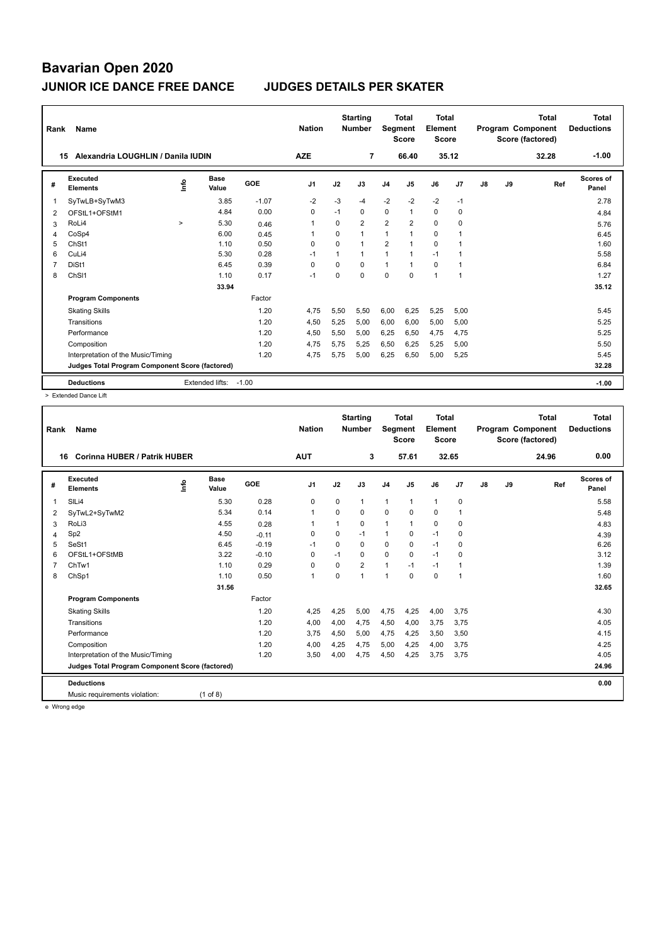| Rank           | Name                                            |        |                 |         | <b>Nation</b>  |          | <b>Starting</b><br><b>Number</b> | Segment        | Total<br><b>Score</b> | <b>Total</b><br>Element<br><b>Score</b> |                |    |    | <b>Total</b><br>Program Component<br>Score (factored) | <b>Total</b><br><b>Deductions</b> |
|----------------|-------------------------------------------------|--------|-----------------|---------|----------------|----------|----------------------------------|----------------|-----------------------|-----------------------------------------|----------------|----|----|-------------------------------------------------------|-----------------------------------|
| 15             | Alexandria LOUGHLIN / Danila IUDIN              |        |                 |         | <b>AZE</b>     |          | 7                                |                | 66.40                 | 35.12                                   |                |    |    | 32.28                                                 | $-1.00$                           |
| #              | Executed<br><b>Elements</b>                     | ۴ů     | Base<br>Value   | GOE     | J <sub>1</sub> | J2       | J3                               | J <sub>4</sub> | J5                    | J6                                      | J7             | J8 | J9 | Ref                                                   | Scores of<br>Panel                |
| 1              | SyTwLB+SyTwM3                                   |        | 3.85            | $-1.07$ | $-2$           | $-3$     | $-4$                             | $-2$           | $-2$                  | $-2$                                    | $-1$           |    |    |                                                       | 2.78                              |
| $\overline{2}$ | OFStL1+OFStM1                                   |        | 4.84            | 0.00    | 0              | $-1$     | 0                                | $\mathbf 0$    | $\mathbf{1}$          | 0                                       | 0              |    |    |                                                       | 4.84                              |
| 3              | RoLi4                                           | $\geq$ | 5.30            | 0.46    | $\mathbf{1}$   | $\Omega$ | $\overline{2}$                   | $\overline{2}$ | $\overline{2}$        | $\mathbf 0$                             | 0              |    |    |                                                       | 5.76                              |
| 4              | CoSp4                                           |        | 6.00            | 0.45    | -1             | $\Omega$ | 1                                | $\mathbf{1}$   |                       | 0                                       | 1              |    |    |                                                       | 6.45                              |
| 5              | ChSt1                                           |        | 1.10            | 0.50    | $\Omega$       | $\Omega$ | 1                                | $\overline{2}$ |                       | $\Omega$                                |                |    |    |                                                       | 1.60                              |
| 6              | CuLi4                                           |        | 5.30            | 0.28    | $-1$           | 1        | 1                                | 1              | $\mathbf{1}$          | $-1$                                    | 1              |    |    |                                                       | 5.58                              |
| $\overline{7}$ | DiSt1                                           |        | 6.45            | 0.39    | $\Omega$       | $\Omega$ | $\Omega$                         | $\mathbf{1}$   | $\mathbf{1}$          | 0                                       | $\overline{1}$ |    |    |                                                       | 6.84                              |
| 8              | ChS <sub>11</sub>                               |        | 1.10            | 0.17    | $-1$           | $\Omega$ | $\Omega$                         | $\Omega$       | $\Omega$              | $\mathbf{1}$                            | 1              |    |    |                                                       | 1.27                              |
|                |                                                 |        | 33.94           |         |                |          |                                  |                |                       |                                         |                |    |    |                                                       | 35.12                             |
|                | <b>Program Components</b>                       |        |                 | Factor  |                |          |                                  |                |                       |                                         |                |    |    |                                                       |                                   |
|                | <b>Skating Skills</b>                           |        |                 | 1.20    | 4.75           | 5,50     | 5,50                             | 6,00           | 6,25                  | 5,25                                    | 5,00           |    |    |                                                       | 5.45                              |
|                | Transitions                                     |        |                 | 1.20    | 4,50           | 5,25     | 5.00                             | 6,00           | 6.00                  | 5,00                                    | 5,00           |    |    |                                                       | 5.25                              |
|                | Performance                                     |        |                 | 1.20    | 4,50           | 5,50     | 5,00                             | 6,25           | 6,50                  | 4,75                                    | 4,75           |    |    |                                                       | 5.25                              |
|                | Composition                                     |        |                 | 1.20    | 4.75           | 5.75     | 5,25                             | 6,50           | 6,25                  | 5,25                                    | 5,00           |    |    |                                                       | 5.50                              |
|                | Interpretation of the Music/Timing              |        |                 | 1.20    | 4,75           | 5,75     | 5,00                             | 6,25           | 6,50                  | 5,00                                    | 5,25           |    |    |                                                       | 5.45                              |
|                | Judges Total Program Component Score (factored) |        |                 |         |                |          |                                  |                |                       |                                         |                |    |    |                                                       | 32.28                             |
|                | <b>Deductions</b>                               |        | Extended lifts: | $-1.00$ |                |          |                                  |                |                       |                                         |                |    |    |                                                       | $-1.00$                           |

> Extended Dance Lift

| Rank | Name                                            |                              |         | <b>Nation</b>  |          | <b>Starting</b><br><b>Number</b> | Segment        | <b>Total</b><br><b>Score</b> | <b>Total</b><br>Element<br><b>Score</b> |                |    |    | <b>Total</b><br>Program Component<br>Score (factored) | <b>Total</b><br><b>Deductions</b> |
|------|-------------------------------------------------|------------------------------|---------|----------------|----------|----------------------------------|----------------|------------------------------|-----------------------------------------|----------------|----|----|-------------------------------------------------------|-----------------------------------|
| 16   | <b>Corinna HUBER / Patrik HUBER</b>             |                              |         | <b>AUT</b>     |          | 3                                |                | 57.61                        |                                         | 32.65          |    |    | 24.96                                                 | 0.00                              |
| #    | Executed<br><b>Elements</b>                     | <b>Base</b><br>lnfo<br>Value | GOE     | J <sub>1</sub> | J2       | J3                               | J <sub>4</sub> | J <sub>5</sub>               | J6                                      | J7             | J8 | J9 | Ref                                                   | <b>Scores of</b><br>Panel         |
| 1    | SILi4                                           | 5.30                         | 0.28    | 0              | 0        | 1                                | $\mathbf{1}$   | $\mathbf{1}$                 | $\mathbf{1}$                            | 0              |    |    |                                                       | 5.58                              |
| 2    | SyTwL2+SyTwM2                                   | 5.34                         | 0.14    | $\mathbf{1}$   | $\Omega$ | 0                                | $\mathbf 0$    | $\Omega$                     | $\mathbf 0$                             | 1              |    |    |                                                       | 5.48                              |
| 3    | RoLi3                                           | 4.55                         | 0.28    |                | 1        | $\Omega$                         | 1              |                              | 0                                       | $\mathbf 0$    |    |    |                                                       | 4.83                              |
| 4    | Sp <sub>2</sub>                                 | 4.50                         | $-0.11$ | 0              | $\Omega$ | $-1$                             | $\mathbf{1}$   | 0                            | $-1$                                    | $\mathbf 0$    |    |    |                                                       | 4.39                              |
| 5    | SeSt1                                           | 6.45                         | $-0.19$ | $-1$           | $\Omega$ | $\Omega$                         | $\Omega$       | $\Omega$                     | $-1$                                    | $\Omega$       |    |    |                                                       | 6.26                              |
| 6    | OFStL1+OFStMB                                   | 3.22                         | $-0.10$ | 0              | $-1$     | $\Omega$                         | $\mathbf 0$    | 0                            | $-1$                                    | $\mathbf 0$    |    |    |                                                       | 3.12                              |
|      | ChTw1                                           | 1.10                         | 0.29    | $\mathbf 0$    | 0        | $\overline{2}$                   | $\mathbf{1}$   | $-1$                         | $-1$                                    | $\overline{1}$ |    |    |                                                       | 1.39                              |
| 8    | ChSp1                                           | 1.10                         | 0.50    | $\mathbf{1}$   | $\Omega$ | 1                                | $\overline{1}$ | $\Omega$                     | $\Omega$                                | $\overline{1}$ |    |    |                                                       | 1.60                              |
|      |                                                 | 31.56                        |         |                |          |                                  |                |                              |                                         |                |    |    |                                                       | 32.65                             |
|      | <b>Program Components</b>                       |                              | Factor  |                |          |                                  |                |                              |                                         |                |    |    |                                                       |                                   |
|      | <b>Skating Skills</b>                           |                              | 1.20    | 4,25           | 4,25     | 5,00                             | 4,75           | 4,25                         | 4,00                                    | 3,75           |    |    |                                                       | 4.30                              |
|      | Transitions                                     |                              | 1.20    | 4,00           | 4,00     | 4,75                             | 4,50           | 4,00                         | 3,75                                    | 3,75           |    |    |                                                       | 4.05                              |
|      | Performance                                     |                              | 1.20    | 3,75           | 4,50     | 5,00                             | 4,75           | 4,25                         | 3,50                                    | 3,50           |    |    |                                                       | 4.15                              |
|      | Composition                                     |                              | 1.20    | 4,00           | 4,25     | 4,75                             | 5,00           | 4,25                         | 4,00                                    | 3,75           |    |    |                                                       | 4.25                              |
|      | Interpretation of the Music/Timing              |                              | 1.20    | 3,50           | 4,00     | 4,75                             | 4,50           | 4,25                         | 3,75                                    | 3,75           |    |    |                                                       | 4.05                              |
|      | Judges Total Program Component Score (factored) |                              |         |                |          |                                  |                |                              |                                         |                |    |    |                                                       | 24.96                             |
|      | <b>Deductions</b>                               |                              |         |                |          |                                  |                |                              |                                         |                |    |    |                                                       | 0.00                              |
|      | Music requirements violation:                   | $(1$ of 8)                   |         |                |          |                                  |                |                              |                                         |                |    |    |                                                       |                                   |

e Wrong edge